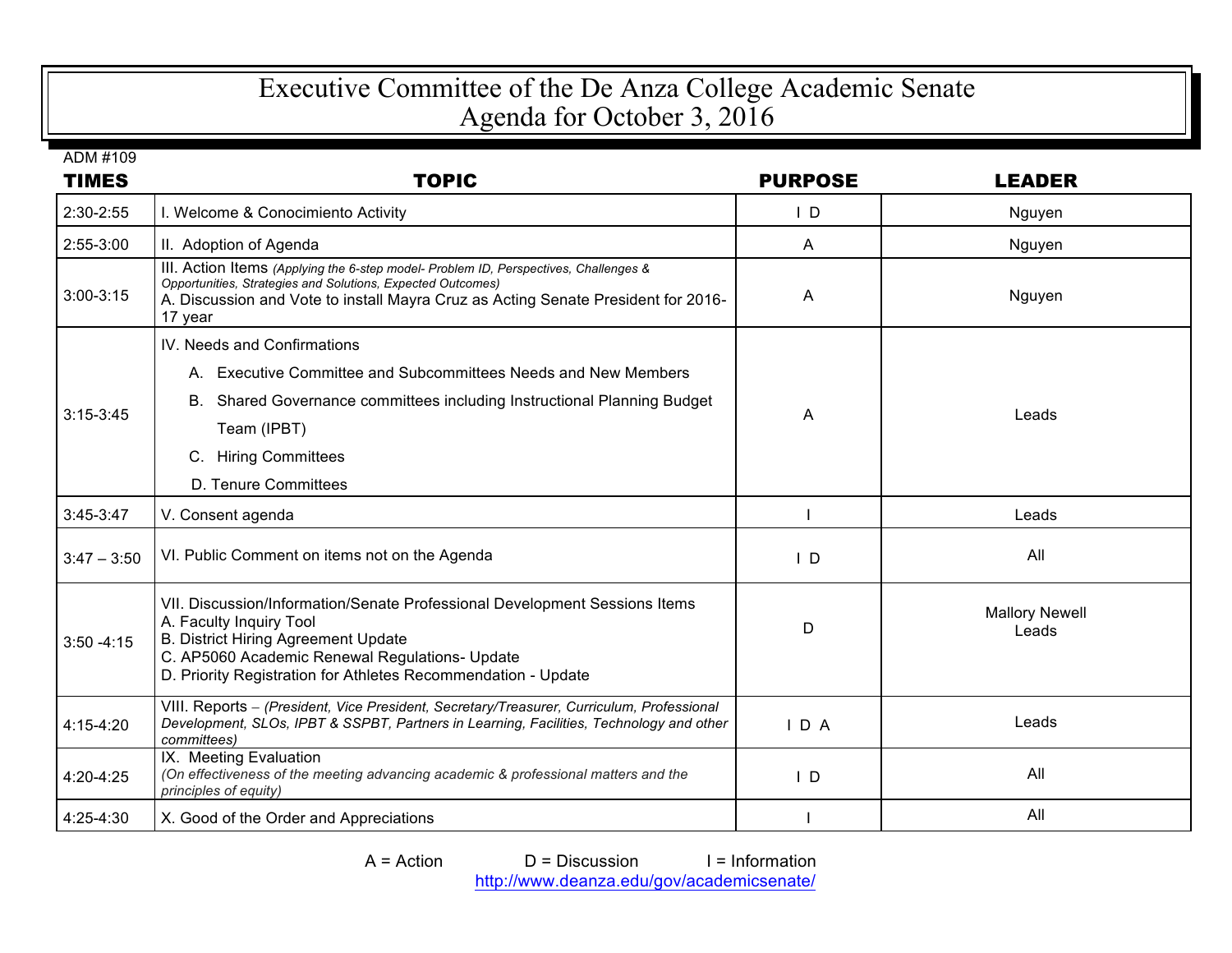## Executive Committee of the De Anza College Academic Senate Agenda for October 3, 2016

ADM #109

| <b>TIMES</b>  | <b>TOPIC</b>                                                                                                                                                                                                                                                           | <b>PURPOSE</b> | <b>LEADER</b>                  |
|---------------|------------------------------------------------------------------------------------------------------------------------------------------------------------------------------------------------------------------------------------------------------------------------|----------------|--------------------------------|
| 2:30-2:55     | I. Welcome & Conocimiento Activity                                                                                                                                                                                                                                     | $\mathsf{L}$   | Nguyen                         |
| 2:55-3:00     | II. Adoption of Agenda                                                                                                                                                                                                                                                 | A              | Nguyen                         |
| $3:00-3:15$   | III. Action Items (Applying the 6-step model- Problem ID, Perspectives, Challenges &<br>Opportunities, Strategies and Solutions, Expected Outcomes)<br>A. Discussion and Vote to install Mayra Cruz as Acting Senate President for 2016-<br>17 year                    | A              | Nguyen                         |
| $3:15-3:45$   | IV. Needs and Confirmations                                                                                                                                                                                                                                            |                |                                |
|               | A. Executive Committee and Subcommittees Needs and New Members                                                                                                                                                                                                         | A              | Leads                          |
|               | B. Shared Governance committees including Instructional Planning Budget                                                                                                                                                                                                |                |                                |
|               | Team (IPBT)                                                                                                                                                                                                                                                            |                |                                |
|               | C. Hiring Committees                                                                                                                                                                                                                                                   |                |                                |
|               | D. Tenure Committees                                                                                                                                                                                                                                                   |                |                                |
| $3:45-3:47$   | V. Consent agenda                                                                                                                                                                                                                                                      |                | Leads                          |
| $3:47 - 3:50$ | VI. Public Comment on items not on the Agenda                                                                                                                                                                                                                          | $\mathsf{L}$   | All                            |
| $3:50 - 4:15$ | VII. Discussion/Information/Senate Professional Development Sessions Items<br>A. Faculty Inquiry Tool<br><b>B. District Hiring Agreement Update</b><br>C. AP5060 Academic Renewal Regulations- Update<br>D. Priority Registration for Athletes Recommendation - Update | D              | <b>Mallory Newell</b><br>Leads |
| 4:15-4:20     | VIII. Reports - (President, Vice President, Secretary/Treasurer, Curriculum, Professional<br>Development, SLOs, IPBT & SSPBT, Partners in Learning, Facilities, Technology and other<br>committees)                                                                    | IDA            | Leads                          |
| 4:20-4:25     | IX. Meeting Evaluation<br>(On effectiveness of the meeting advancing academic & professional matters and the<br>principles of equity)                                                                                                                                  | $\mathsf{L}$   | All                            |
| 4:25-4:30     | X. Good of the Order and Appreciations                                                                                                                                                                                                                                 |                | All                            |